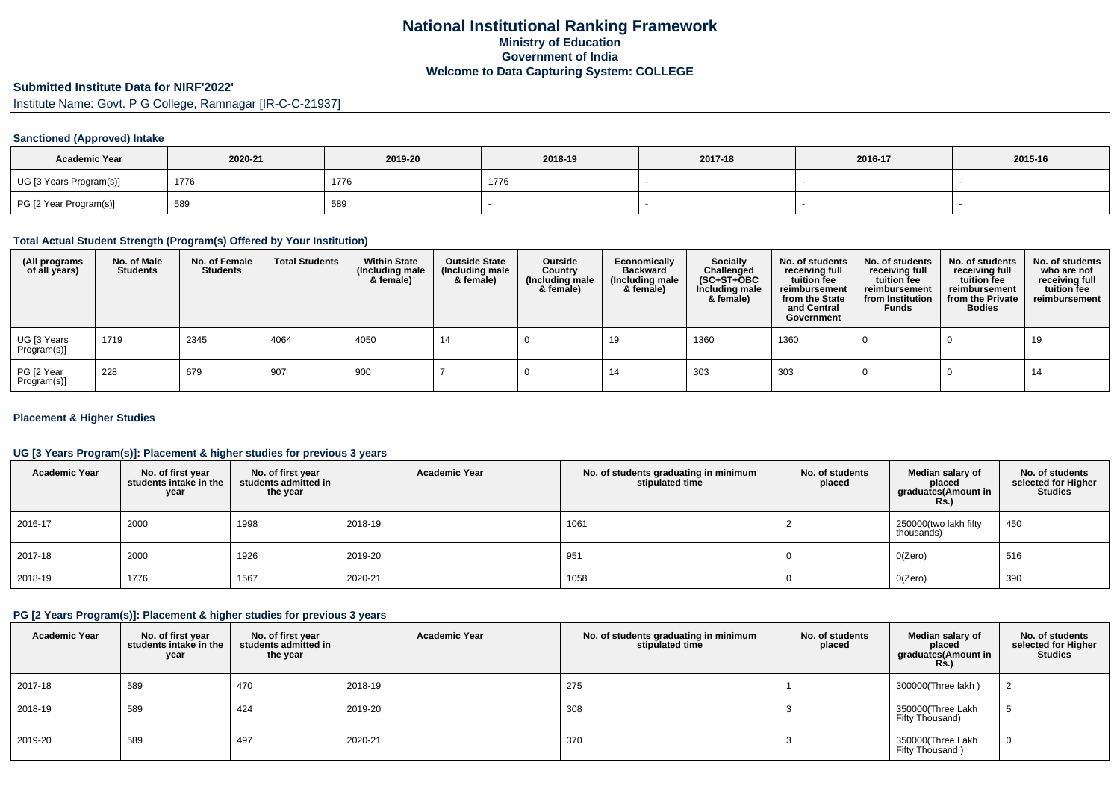# **Submitted Institute Data for NIRF'2022'**

Institute Name: Govt. P G College, Ramnagar [IR-C-C-21937]

## **Sanctioned (Approved) Intake**

| <b>Academic Year</b>    | 2020-21 | 2019-20 | 2018-19 | 2017-18 | 2016-17 | 2015-16 |
|-------------------------|---------|---------|---------|---------|---------|---------|
| UG [3 Years Program(s)] | 1776    | 1776    | 1776    |         |         |         |
| PG [2 Year Program(s)]  | 589     | 589     |         |         |         |         |

#### **Total Actual Student Strength (Program(s) Offered by Your Institution)**

| (All programs<br>of all years) | No. of Male<br><b>Students</b> | No. of Female<br><b>Students</b> | <b>Total Students</b> | <b>Within State</b><br>(Including male<br>& female) | <b>Outside State</b><br>(Including male<br>& female) | Outside<br>Country<br>(Including male<br>& female) | Economically<br><b>Backward</b><br>(Including male<br>& female) | <b>Socially</b><br>Challenged<br>$(SC+ST+OBC)$<br>Including male<br>& female) | No. of students<br>receiving full<br>tuition fee<br>reimbursement<br>from the State<br>and Central<br>Government | No. of students<br>receiving full<br>tuition fee<br>reimbursement<br>from Institution<br><b>Funds</b> | No. of students<br>receiving full<br>tuition fee<br>reimbursement<br>from the Private<br><b>Bodies</b> | No. of students<br>who are not<br>receiving full<br>tuition fee<br>reimbursement |
|--------------------------------|--------------------------------|----------------------------------|-----------------------|-----------------------------------------------------|------------------------------------------------------|----------------------------------------------------|-----------------------------------------------------------------|-------------------------------------------------------------------------------|------------------------------------------------------------------------------------------------------------------|-------------------------------------------------------------------------------------------------------|--------------------------------------------------------------------------------------------------------|----------------------------------------------------------------------------------|
| UG [3 Years<br>Program(s)]     | 1719                           | 2345                             | 4064                  | 4050                                                | 14                                                   |                                                    | 19                                                              | 1360                                                                          | 1360                                                                                                             |                                                                                                       |                                                                                                        | 19                                                                               |
| PG [2 Year<br>Program(s)]      | 228                            | 679                              | 907                   | 900                                                 |                                                      |                                                    | 14                                                              | 303                                                                           | 303                                                                                                              |                                                                                                       |                                                                                                        | 14                                                                               |

## **Placement & Higher Studies**

## **UG [3 Years Program(s)]: Placement & higher studies for previous 3 years**

| <b>Academic Year</b> | No. of first year<br>students intake in the<br>year | No. of first year<br>students admitted in<br>the year | <b>Academic Year</b> | No. of students graduating in minimum<br>stipulated time | No. of students<br>placed | Median salary of<br>placed<br>graduates(Amount in<br>Rs. | No. of students<br>selected for Higher<br><b>Studies</b> |
|----------------------|-----------------------------------------------------|-------------------------------------------------------|----------------------|----------------------------------------------------------|---------------------------|----------------------------------------------------------|----------------------------------------------------------|
| 2016-17              | 2000                                                | 1998                                                  | 2018-19              | 1061                                                     |                           | 250000(two lakh fifty<br>thousands)                      | 450                                                      |
| 2017-18              | 2000                                                | 1926                                                  | 2019-20              | 951                                                      |                           | O(Zero)                                                  | 516                                                      |
| 2018-19              | 1776                                                | 1567                                                  | 2020-21              | 1058                                                     |                           | O(Zero)                                                  | 390                                                      |

#### **PG [2 Years Program(s)]: Placement & higher studies for previous 3 years**

| <b>Academic Year</b> | No. of first year<br>students intake in the<br>year | No. of first vear<br>students admitted in<br>the year | <b>Academic Year</b> | No. of students graduating in minimum<br>stipulated time | No. of students<br>placed | Median salary of<br>placed<br>graduates(Amount in<br><b>Rs.)</b> | No. of students<br>selected for Higher<br><b>Studies</b> |
|----------------------|-----------------------------------------------------|-------------------------------------------------------|----------------------|----------------------------------------------------------|---------------------------|------------------------------------------------------------------|----------------------------------------------------------|
| 2017-18              | 589                                                 | 470                                                   | 2018-19              | 275                                                      |                           | 300000(Three lakh)                                               |                                                          |
| 2018-19              | 589                                                 | 424                                                   | 2019-20              | 308                                                      |                           | 350000(Three Lakh<br>Fifty Thousand)                             |                                                          |
| 2019-20              | 589                                                 | 497                                                   | 2020-21              | 370                                                      |                           | 350000(Three Lakh<br>Fifty Thousand)                             |                                                          |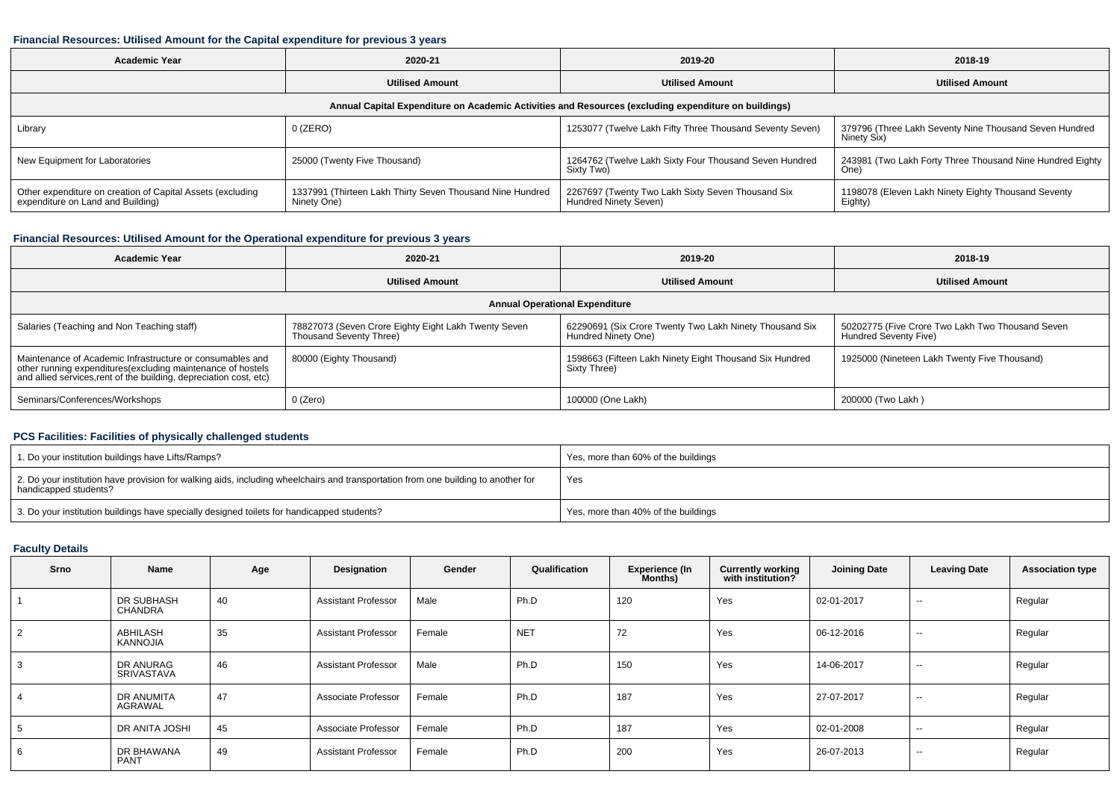## **Financial Resources: Utilised Amount for the Capital expenditure for previous 3 years**

| <b>Academic Year</b>                                                                                 | 2020-21                                                                  |                                                                            | 2018-19                                                               |  |  |  |  |  |  |  |
|------------------------------------------------------------------------------------------------------|--------------------------------------------------------------------------|----------------------------------------------------------------------------|-----------------------------------------------------------------------|--|--|--|--|--|--|--|
|                                                                                                      | <b>Utilised Amount</b>                                                   | <b>Utilised Amount</b>                                                     | <b>Utilised Amount</b>                                                |  |  |  |  |  |  |  |
| Annual Capital Expenditure on Academic Activities and Resources (excluding expenditure on buildings) |                                                                          |                                                                            |                                                                       |  |  |  |  |  |  |  |
| Library                                                                                              | 0 (ZERO)                                                                 | 1253077 (Twelve Lakh Fifty Three Thousand Seventy Seven)                   | 379796 (Three Lakh Seventy Nine Thousand Seven Hundred<br>Ninety Six) |  |  |  |  |  |  |  |
| New Equipment for Laboratories                                                                       | 25000 (Twenty Five Thousand)                                             | 1264762 (Twelve Lakh Sixty Four Thousand Seven Hundred<br>Sixty Two)       | 243981 (Two Lakh Forty Three Thousand Nine Hundred Eighty<br>One)     |  |  |  |  |  |  |  |
| Other expenditure on creation of Capital Assets (excluding<br>expenditure on Land and Building)      | 1337991 (Thirteen Lakh Thirty Seven Thousand Nine Hundred<br>Ninety One) | 2267697 (Twenty Two Lakh Sixty Seven Thousand Six<br>Hundred Ninety Seven) | 1198078 (Eleven Lakh Ninety Eighty Thousand Seventy<br>Eighty)        |  |  |  |  |  |  |  |

## **Financial Resources: Utilised Amount for the Operational expenditure for previous 3 years**

| <b>Academic Year</b>                                                                                                                                                                            | 2020-21                                                                         | 2019-20                                                                        | 2018-19                                                                          |  |  |  |  |  |  |  |
|-------------------------------------------------------------------------------------------------------------------------------------------------------------------------------------------------|---------------------------------------------------------------------------------|--------------------------------------------------------------------------------|----------------------------------------------------------------------------------|--|--|--|--|--|--|--|
|                                                                                                                                                                                                 | <b>Utilised Amount</b>                                                          | <b>Utilised Amount</b>                                                         | <b>Utilised Amount</b>                                                           |  |  |  |  |  |  |  |
| <b>Annual Operational Expenditure</b>                                                                                                                                                           |                                                                                 |                                                                                |                                                                                  |  |  |  |  |  |  |  |
| Salaries (Teaching and Non Teaching staff)                                                                                                                                                      | 78827073 (Seven Crore Eighty Eight Lakh Twenty Seven<br>Thousand Seventy Three) | 62290691 (Six Crore Twenty Two Lakh Ninety Thousand Six<br>Hundred Ninety One) | 50202775 (Five Crore Two Lakh Two Thousand Seven<br><b>Hundred Seventy Five)</b> |  |  |  |  |  |  |  |
| Maintenance of Academic Infrastructure or consumables and<br>other running expenditures (excluding maintenance of hostels<br>and allied services, rent of the building, depreciation cost, etc) | 80000 (Eighty Thousand)                                                         | 1598663 (Fifteen Lakh Ninety Eight Thousand Six Hundred<br>Sixty Three)        | 1925000 (Nineteen Lakh Twenty Five Thousand)                                     |  |  |  |  |  |  |  |
| Seminars/Conferences/Workshops                                                                                                                                                                  | 0 (Zero)                                                                        | 100000 (One Lakh)                                                              | 200000 (Two Lakh)                                                                |  |  |  |  |  |  |  |

## **PCS Facilities: Facilities of physically challenged students**

| 1. Do your institution buildings have Lifts/Ramps?                                                                                                         | Yes, more than 60% of the buildings |
|------------------------------------------------------------------------------------------------------------------------------------------------------------|-------------------------------------|
| 2. Do your institution have provision for walking aids, including wheelchairs and transportation from one building to another for<br>handicapped students? | Yes                                 |
| 3. Do your institution buildings have specially designed toilets for handicapped students?                                                                 | Yes, more than 40% of the buildings |

## **Faculty Details**

| Srno           | Name                      | Age | Designation                | Gender | Qualification | <b>Experience (In</b><br>Months) | <b>Currently working</b><br>with institution? | <b>Joining Date</b> | <b>Leaving Date</b>      | <b>Association type</b> |
|----------------|---------------------------|-----|----------------------------|--------|---------------|----------------------------------|-----------------------------------------------|---------------------|--------------------------|-------------------------|
|                | DR SUBHASH<br>CHANDRA     | 40  | <b>Assistant Professor</b> | Male   | Ph.D          | 120                              | Yes                                           | 02-01-2017          | $\sim$                   | Regular                 |
| $\mathfrak{p}$ | ABHILASH<br>KANNOJIA      | 35  | <b>Assistant Professor</b> | Female | <b>NET</b>    | 72                               | Yes                                           | 06-12-2016          | $\sim$                   | Regular                 |
|                | DR ANURAG<br>SRIVASTAVA   | 46  | <b>Assistant Professor</b> | Male   | Ph.D          | 150                              | Yes                                           | 14-06-2017          | $\sim$                   | Regular                 |
|                | DR ANUMITA<br>AGRAWAL     | 47  | Associate Professor        | Female | Ph.D          | 187                              | Yes                                           | 27-07-2017          | $\sim$ $\sim$            | Regular                 |
|                | DR ANITA JOSHI            | 45  | Associate Professor        | Female | Ph.D          | 187                              | Yes                                           | 02-01-2008          | $\overline{\phantom{a}}$ | Regular                 |
| 6              | DR BHAWANA<br><b>PANT</b> | 49  | <b>Assistant Professor</b> | Female | Ph.D          | 200                              | Yes                                           | 26-07-2013          | $- -$                    | Regular                 |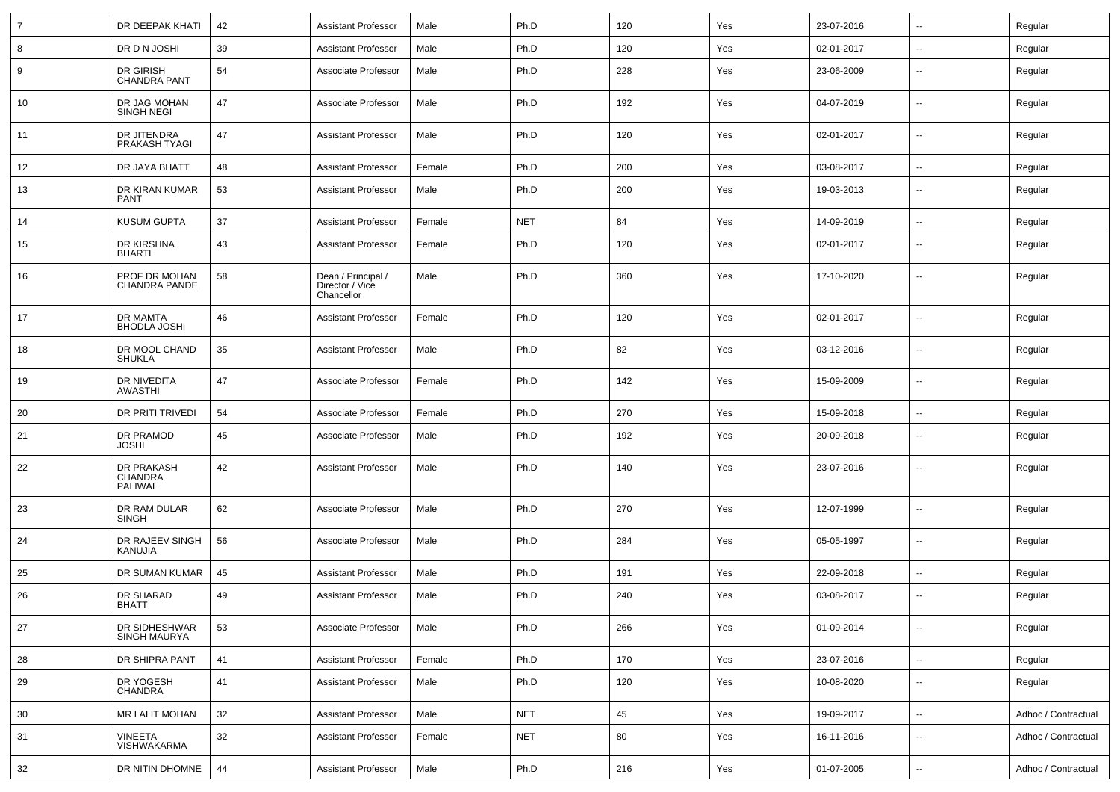| 7  | DR DEEPAK KHATI                         | 42 | <b>Assistant Professor</b>                          | Male   | Ph.D       | 120 | Yes | 23-07-2016 | $\sim$                   | Regular             |
|----|-----------------------------------------|----|-----------------------------------------------------|--------|------------|-----|-----|------------|--------------------------|---------------------|
| 8  | DR D N JOSHI                            | 39 | <b>Assistant Professor</b>                          | Male   | Ph.D       | 120 | Yes | 02-01-2017 | $\overline{\phantom{a}}$ | Regular             |
| 9  | DR GIRISH<br><b>CHANDRA PANT</b>        | 54 | Associate Professor                                 | Male   | Ph.D       | 228 | Yes | 23-06-2009 | $\overline{\phantom{a}}$ | Regular             |
| 10 | DR JAG MOHAN<br><b>SINGH NEGI</b>       | 47 | Associate Professor                                 | Male   | Ph.D       | 192 | Yes | 04-07-2019 | $\sim$                   | Regular             |
| 11 | DR JITENDRA<br>PRAKASH TYAGI            | 47 | <b>Assistant Professor</b>                          | Male   | Ph.D       | 120 | Yes | 02-01-2017 | $\overline{\phantom{a}}$ | Regular             |
| 12 | DR JAYA BHATT                           | 48 | <b>Assistant Professor</b>                          | Female | Ph.D       | 200 | Yes | 03-08-2017 | $\overline{\phantom{a}}$ | Regular             |
| 13 | DR KIRAN KUMAR<br><b>PANT</b>           | 53 | <b>Assistant Professor</b>                          | Male   | Ph.D       | 200 | Yes | 19-03-2013 | $\overline{\phantom{a}}$ | Regular             |
| 14 | <b>KUSUM GUPTA</b>                      | 37 | <b>Assistant Professor</b>                          | Female | <b>NET</b> | 84  | Yes | 14-09-2019 | $\overline{\phantom{a}}$ | Regular             |
| 15 | DR KIRSHNA<br><b>BHARTI</b>             | 43 | <b>Assistant Professor</b>                          | Female | Ph.D       | 120 | Yes | 02-01-2017 | $\overline{\phantom{a}}$ | Regular             |
| 16 | PROF DR MOHAN<br><b>CHANDRA PANDE</b>   | 58 | Dean / Principal /<br>Director / Vice<br>Chancellor | Male   | Ph.D       | 360 | Yes | 17-10-2020 | --                       | Regular             |
| 17 | DR MAMTA<br><b>BHODLA JOSHI</b>         | 46 | <b>Assistant Professor</b>                          | Female | Ph.D       | 120 | Yes | 02-01-2017 | --                       | Regular             |
| 18 | DR MOOL CHAND<br><b>SHUKLA</b>          | 35 | <b>Assistant Professor</b>                          | Male   | Ph.D       | 82  | Yes | 03-12-2016 | $\overline{\phantom{a}}$ | Regular             |
| 19 | DR NIVEDITA<br>AWASTHI                  | 47 | Associate Professor                                 | Female | Ph.D       | 142 | Yes | 15-09-2009 | --                       | Regular             |
| 20 | DR PRITI TRIVEDI                        | 54 | Associate Professor                                 | Female | Ph.D       | 270 | Yes | 15-09-2018 | $\sim$                   | Regular             |
| 21 | DR PRAMOD<br><b>JOSHI</b>               | 45 | Associate Professor                                 | Male   | Ph.D       | 192 | Yes | 20-09-2018 | --                       | Regular             |
| 22 | DR PRAKASH<br><b>CHANDRA</b><br>PALIWAL | 42 | <b>Assistant Professor</b>                          | Male   | Ph.D       | 140 | Yes | 23-07-2016 | --                       | Regular             |
| 23 | DR RAM DULAR<br><b>SINGH</b>            | 62 | Associate Professor                                 | Male   | Ph.D       | 270 | Yes | 12-07-1999 | --                       | Regular             |
| 24 | DR RAJEEV SINGH<br>KANUJIA              | 56 | Associate Professor                                 | Male   | Ph.D       | 284 | Yes | 05-05-1997 | --                       | Regular             |
| 25 | DR SUMAN KUMAR                          | 45 | <b>Assistant Professor</b>                          | Male   | Ph.D       | 191 | Yes | 22-09-2018 | $\overline{\phantom{a}}$ | Regular             |
| 26 | DR SHARAD<br><b>BHATT</b>               | 49 | <b>Assistant Professor</b>                          | Male   | Ph.D       | 240 | Yes | 03-08-2017 | $\overline{\phantom{a}}$ | Regular             |
| 27 | DR SIDHESHWAR<br><b>SINGH MAURYA</b>    | 53 | Associate Professor                                 | Male   | Ph.D       | 266 | Yes | 01-09-2014 | $\overline{\phantom{a}}$ | Regular             |
| 28 | DR SHIPRA PANT                          | 41 | <b>Assistant Professor</b>                          | Female | Ph.D       | 170 | Yes | 23-07-2016 | $\sim$                   | Regular             |
| 29 | DR YOGESH<br><b>CHANDRA</b>             | 41 | <b>Assistant Professor</b>                          | Male   | Ph.D       | 120 | Yes | 10-08-2020 | $\sim$                   | Regular             |
| 30 | MR LALIT MOHAN                          | 32 | <b>Assistant Professor</b>                          | Male   | <b>NET</b> | 45  | Yes | 19-09-2017 | $\sim$                   | Adhoc / Contractual |
| 31 | <b>VINEETA</b><br><b>VISHWAKARMA</b>    | 32 | <b>Assistant Professor</b>                          | Female | <b>NET</b> | 80  | Yes | 16-11-2016 | $\sim$                   | Adhoc / Contractual |
| 32 | DR NITIN DHOMNE                         | 44 | <b>Assistant Professor</b>                          | Male   | Ph.D       | 216 | Yes | 01-07-2005 | $\sim$                   | Adhoc / Contractual |